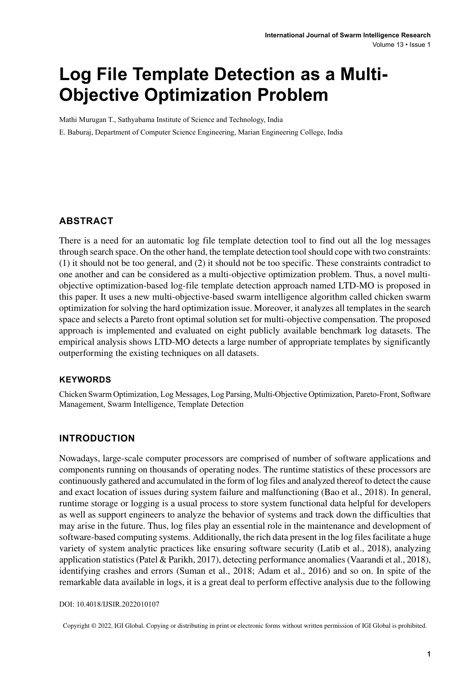# **Log File Template Detection as a Multi-Objective Optimization Problem**

Mathi Murugan T., Sathyabama Institute of Science and Technology, India

E. Baburaj, Department of Computer Science Engineering, Marian Engineering College, India

#### **ABSTRACT**

There is a need for an automatic log file template detection tool to find out all the log messages through search space. On the other hand, the template detection toolshould cope with two constraints: (1) it should not be too general, and (2) it should not be too specific. These constraints contradict to one another and can be considered as a multi-objective optimization problem. Thus, a novel multiobjective optimization-based log-file template detection approach named LTD-MO is proposed in this paper. It uses a new multi-objective-based swarm intelligence algorithm called chicken swarm optimization forsolving the hard optimization issue. Moreover, it analyzes all templatesin the search space and selects a Pareto front optimal solution set for multi-objective compensation. The proposed approach is implemented and evaluated on eight publicly available benchmark log datasets. The empirical analysis shows LTD-MO detects a large number of appropriate templates by significantly outperforming the existing techniques on all datasets.

#### **Keywords**

Chicken Swarm Optimization, Log Messages, Log Parsing, Multi-Objective Optimization, Pareto-Front, Software Management, Swarm Intelligence, Template Detection

### **INTRODUCTION**

Nowadays, large-scale computer processors are comprised of number of software applications and components running on thousands of operating nodes. The runtime statistics of these processors are continuously gathered and accumulated in the form of log files and analyzed thereof to detect the cause and exact location of issues during system failure and malfunctioning (Bao et al., 2018). In general, runtime storage or logging is a usual process to store system functional data helpful for developers as well as support engineers to analyze the behavior of systems and track down the difficulties that may arise in the future. Thus, log files play an essential role in the maintenance and development of software-based computing systems. Additionally, the rich data present in the log files facilitate a huge variety of system analytic practices like ensuring software security (Latib et al., 2018), analyzing application statistics(Patel & Parikh, 2017), detecting performance anomalies(Vaarandi et al., 2018), identifying crashes and errors (Suman et al., 2018; Adam et al., 2016) and so on. In spite of the remarkable data available in logs, it is a great deal to perform effective analysis due to the following

#### DOI: 10.4018/IJSIR.2022010107

Copyright © 2022, IGI Global. Copying or distributing in print or electronic forms without written permission of IGI Global is prohibited.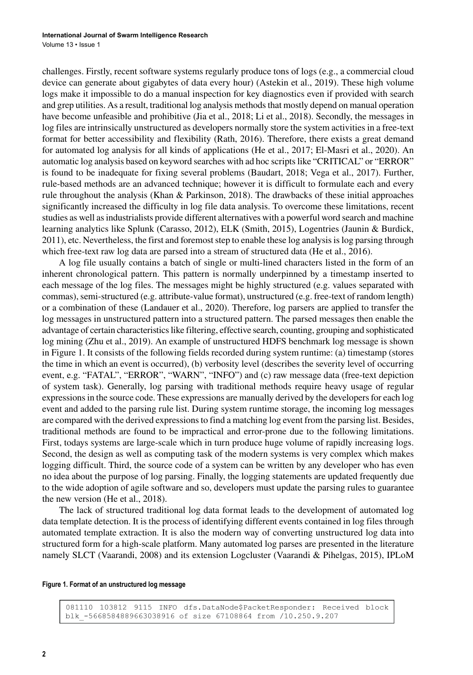challenges. Firstly, recent software systems regularly produce tons of logs (e.g., a commercial cloud device can generate about gigabytes of data every hour) (Astekin et al., 2019). These high volume logs make it impossible to do a manual inspection for key diagnostics even if provided with search and grep utilities. As a result, traditional log analysis methods that mostly depend on manual operation have become unfeasible and prohibitive (Jia et al., 2018; Li et al., 2018). Secondly, the messages in log files are intrinsically unstructured as developers normally store the system activities in a free-text format for better accessibility and flexibility (Rath, 2016). Therefore, there exists a great demand for automated log analysis for all kinds of applications (He et al., 2017; El-Masri et al., 2020). An automatic log analysis based on keyword searches with ad hoc scriptslike "CRITICAL" or "ERROR" is found to be inadequate for fixing several problems (Baudart, 2018; Vega et al., 2017). Further, rule-based methods are an advanced technique; however it is difficult to formulate each and every rule throughout the analysis (Khan & Parkinson, 2018). The drawbacks of these initial approaches significantly increased the difficulty in log file data analysis. To overcome these limitations, recent studies as well asindustrialists provide different alternatives with a powerful word search and machine learning analytics like Splunk (Carasso, 2012), ELK (Smith, 2015), Logentries (Jaunin & Burdick, 2011), etc. Nevertheless, the first and foremost step to enable these log analysis is log parsing through which free-text raw log data are parsed into a stream of structured data (He et al., 2016).

A log file usually contains a batch of single or multi-lined characters listed in the form of an inherent chronological pattern. This pattern is normally underpinned by a timestamp inserted to each message of the log files. The messages might be highly structured (e.g. values separated with commas), semi-structured (e.g. attribute-value format), unstructured (e.g. free-text of random length) or a combination of these (Landauer et al., 2020). Therefore, log parsers are applied to transfer the log messages in unstructured pattern into a structured pattern. The parsed messages then enable the advantage of certain characteristicslike filtering, effective search, counting, grouping and sophisticated log mining (Zhu et al., 2019). An example of unstructured HDFS benchmark log message is shown in Figure 1. It consists of the following fields recorded during system runtime: (a) timestamp (stores the time in which an event is occurred), (b) verbosity level (describes the severity level of occurring event, e.g. "FATAL", "ERROR", "WARN", "INFO") and (c) raw message data (free-text depiction of system task). Generally, log parsing with traditional methods require heavy usage of regular expressions in the source code. These expressions are manually derived by the developers for each log event and added to the parsing rule list. During system runtime storage, the incoming log messages are compared with the derived expressionsto find a matching log event from the parsing list. Besides, traditional methods are found to be impractical and error-prone due to the following limitations. First, todays systems are large-scale which in turn produce huge volume of rapidly increasing logs. Second, the design as well as computing task of the modern systems is very complex which makes logging difficult. Third, the source code of a system can be written by any developer who has even no idea about the purpose of log parsing. Finally, the logging statements are updated frequently due to the wide adoption of agile software and so, developers must update the parsing rules to guarantee the new version (He et al., 2018).

The lack of structured traditional log data format leads to the development of automated log data template detection. It is the process of identifying different events contained in log files through automated template extraction. It is also the modern way of converting unstructured log data into structured form for a high-scale platform. Many automated log parses are presented in the literature namely SLCT (Vaarandi, 2008) and its extension Logcluster (Vaarandi & Pihelgas, 2015), IPLoM

#### **Figure 1. Format of an unstructured log message**

081110 103812 9115 INFO dfs.DataNode\$PacketResponder: Received block blk -5668584889663038916 of size 67108864 from /10.250.9.207